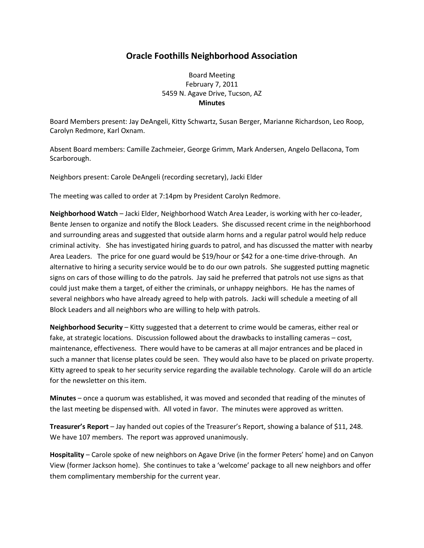## **Oracle Foothills Neighborhood Association**

Board Meeting February 7, 2011 5459 N. Agave Drive, Tucson, AZ **Minutes**

Board Members present: Jay DeAngeli, Kitty Schwartz, Susan Berger, Marianne Richardson, Leo Roop, Carolyn Redmore, Karl Oxnam.

Absent Board members: Camille Zachmeier, George Grimm, Mark Andersen, Angelo Dellacona, Tom Scarborough.

Neighbors present: Carole DeAngeli (recording secretary), Jacki Elder

The meeting was called to order at 7:14pm by President Carolyn Redmore.

**Neighborhood Watch** – Jacki Elder, Neighborhood Watch Area Leader, is working with her co-leader, Bente Jensen to organize and notify the Block Leaders. She discussed recent crime in the neighborhood and surrounding areas and suggested that outside alarm horns and a regular patrol would help reduce criminal activity. She has investigated hiring guards to patrol, and has discussed the matter with nearby Area Leaders. The price for one guard would be \$19/hour or \$42 for a one-time drive-through. An alternative to hiring a security service would be to do our own patrols. She suggested putting magnetic signs on cars of those willing to do the patrols. Jay said he preferred that patrols not use signs as that could just make them a target, of either the criminals, or unhappy neighbors. He has the names of several neighbors who have already agreed to help with patrols. Jacki will schedule a meeting of all Block Leaders and all neighbors who are willing to help with patrols.

**Neighborhood Security** – Kitty suggested that a deterrent to crime would be cameras, either real or fake, at strategic locations. Discussion followed about the drawbacks to installing cameras – cost, maintenance, effectiveness. There would have to be cameras at all major entrances and be placed in such a manner that license plates could be seen. They would also have to be placed on private property. Kitty agreed to speak to her security service regarding the available technology. Carole will do an article for the newsletter on this item.

**Minutes** – once a quorum was established, it was moved and seconded that reading of the minutes of the last meeting be dispensed with. All voted in favor. The minutes were approved as written.

**Treasurer's Report** – Jay handed out copies of the Treasurer's Report, showing a balance of \$11, 248. We have 107 members. The report was approved unanimously.

**Hospitality** – Carole spoke of new neighbors on Agave Drive (in the former Peters' home) and on Canyon View (former Jackson home). She continues to take a 'welcome' package to all new neighbors and offer them complimentary membership for the current year.